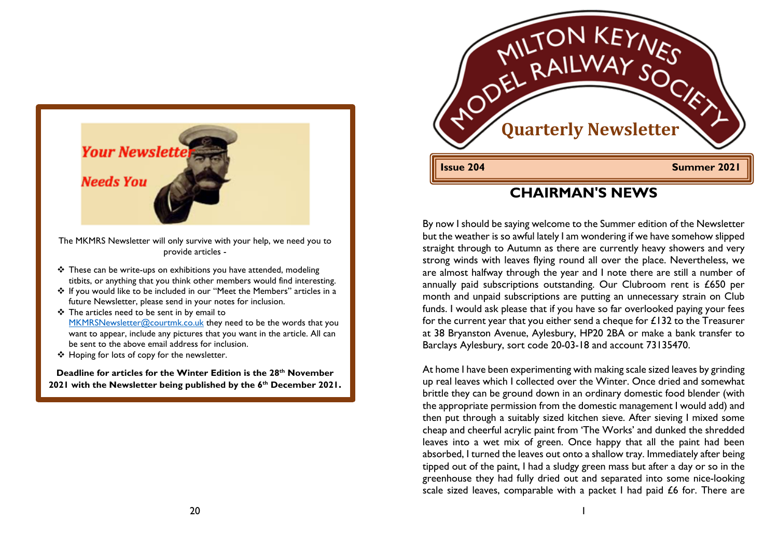

The MKMRS Newsletter will only survive with your help, we need you to provide articles -

- $\cdot$  These can be write-ups on exhibitions you have attended, modeling titbits, or anything that you think other members would find interesting.
- \* If you would like to be included in our "Meet the Members" articles in a future Newsletter, please send in your notes for inclusion.
- $\div$  The articles need to be sent in by email to MKMRSNewsletter@courtmk.co.uk they need to be the words that you want to appear, include any pictures that you want in the article. All can be sent to the above email address for inclusion.
- ❖ Hoping for lots of copy for the newsletter.

**Deadline for articles for the Winter Edition is the 28th November 2021 with the Newsletter being published by the 6th December 2021.**



### **CHAIRMAN'S NEWS**

By now I should be saying welcome to the Summer edition of the Newsletter but the weather is so awful lately I am wondering if we have somehow slipped straight through to Autumn as there are currently heavy showers and very strong winds with leaves flying round all over the place. Nevertheless, we are almost halfway through the year and I note there are still a number of annually paid subscriptions outstanding. Our Clubroom rent is £650 per month and unpaid subscriptions are putting an unnecessary strain on Club funds. I would ask please that if you have so far overlooked paying your fees for the current year that you either send a cheque for  $£132$  to the Treasurer at 38 Bryanston Avenue, Aylesbury, HP20 2BA or make a bank transfer to Barclays Aylesbury, sort code 20-03-18 and account 73135470.

At home I have been experimenting with making scale sized leaves by grinding up real leaves which I collected over the Winter. Once dried and somewhat brittle they can be ground down in an ordinary domestic food blender (with the appropriate permission from the domestic management I would add) and then put through a suitably sized kitchen sieve. After sieving I mixed some cheap and cheerful acrylic paint from 'The Works' and dunked the shredded leaves into a wet mix of green. Once happy that all the paint had been absorbed, I turned the leaves out onto a shallow tray. Immediately after being tipped out of the paint, I had a sludgy green mass but after a day or so in the greenhouse they had fully dried out and separated into some nice-looking scale sized leaves, comparable with a packet I had paid £6 for. There are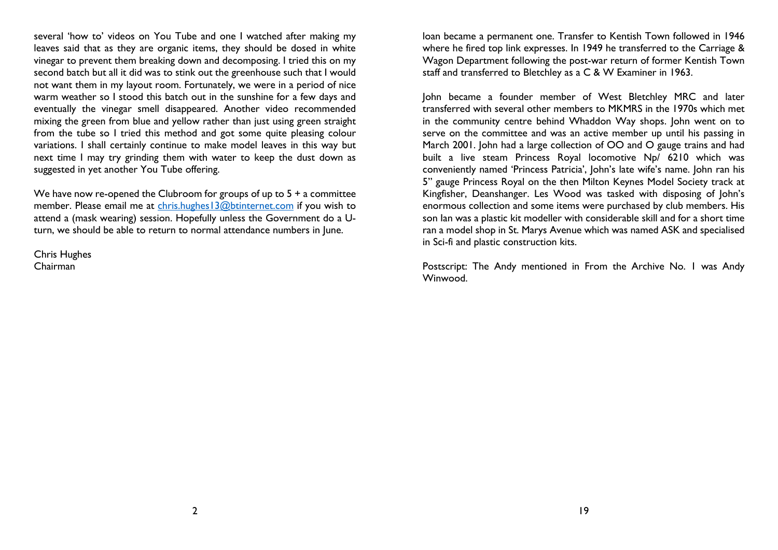several 'how to' videos on You Tube and one I watched after making my leaves said that as they are organic items, they should be dosed in white vinegar to prevent them breaking down and decomposing. I tried this on my second batch but all it did was to stink out the greenhouse such that I would not want them in my layout room. Fortunately, we were in a period of nice warm weather so I stood this batch out in the sunshine for a few days and eventually the vinegar smell disappeared. Another video recommended mixing the green from blue and yellow rather than just using green straight from the tube so I tried this method and got some quite pleasing colour variations. I shall certainly continue to make model leaves in this way but next time I may try grinding them with water to keep the dust down as suggested in yet another You Tube offering.

We have now re-opened the Clubroom for groups of up to  $5 + a$  committee member. Please email me at chris.hughes13@btinternet.com if you wish to attend a (mask wearing) session. Hopefully unless the Government do a Uturn, we should be able to return to normal attendance numbers in June.

Chris Hughes Chairman

loan became a permanent one. Transfer to Kentish Town followed in 1946 where he fired top link expresses. In 1949 he transferred to the Carriage & Wagon Department following the post-war return of former Kentish Town staff and transferred to Bletchley as a C & W Examiner in 1963.

John became a founder member of West Bletchley MRC and later transferred with several other members to MKMRS in the 1970s which met in the community centre behind Whaddon Way shops. John went on to serve on the committee and was an active member up until his passing in March 2001. John had a large collection of OO and O gauge trains and had built a live steam Princess Royal locomotive Np/ 6210 which was conveniently named 'Princess Patricia', John's late wife's name. John ran his 5" gauge Princess Royal on the then Milton Keynes Model Society track at Kingfisher, Deanshanger. Les Wood was tasked with disposing of John's enormous collection and some items were purchased by club members. His son Ian was a plastic kit modeller with considerable skill and for a short time ran a model shop in St. Marys Avenue which was named ASK and specialised in Sci-fi and plastic construction kits.

Postscript: The Andy mentioned in From the Archive No. 1 was Andy Winwood.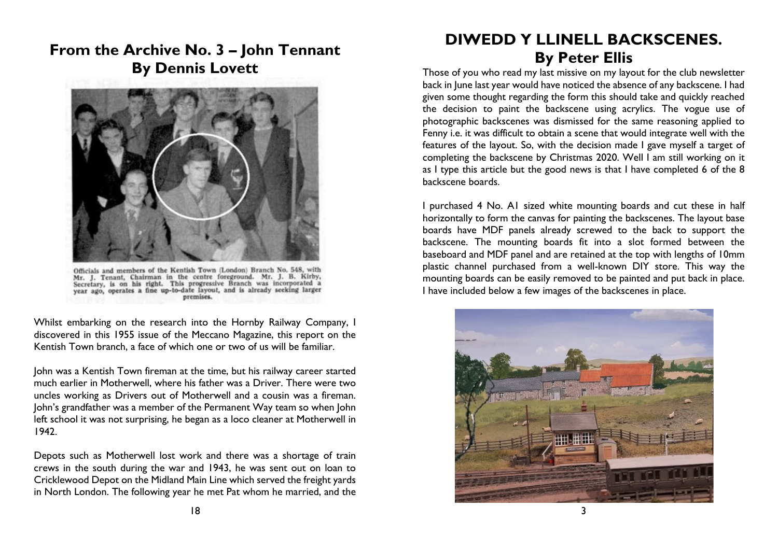### **From the Archive No. 3 – John Tennant By Dennis Lovett**



Officials and members of the Kentish Town (London) Branch No. 548, with Officials and members of the Kentish Town London) Branch No. 2-8, with Nr. J. B. Kirby, Secretary, is on his right. This progressive Branch was incorporated a year ago, operates a fine up-to-date layout, and is already see premises.

Whilst embarking on the research into the Hornby Railway Company, I discovered in this 1955 issue of the Meccano Magazine, this report on the Kentish Town branch, a face of which one or two of us will be familiar.

John was a Kentish Town fireman at the time, but his railway career started much earlier in Motherwell, where his father was a Driver. There were two uncles working as Drivers out of Motherwell and a cousin was a fireman. John's grandfather was a member of the Permanent Way team so when John left school it was not surprising, he began as a loco cleaner at Motherwell in 1942.

Depots such as Motherwell lost work and there was a shortage of train crews in the south during the war and 1943, he was sent out on loan to Cricklewood Depot on the Midland Main Line which served the freight yards in North London. The following year he met Pat whom he married, and the

# **DIWEDD Y LLINELL BACKSCENES. By Peter Ellis**

Those of you who read my last missive on my layout for the club newsletter back in June last year would have noticed the absence of any backscene. I had given some thought regarding the form this should take and quickly reached the decision to paint the backscene using acrylics. The vogue use of photographic backscenes was dismissed for the same reasoning applied to Fenny i.e. it was difficult to obtain a scene that would integrate well with the features of the layout. So, with the decision made I gave myself a target of completing the backscene by Christmas 2020. Well I am still working on it as I type this article but the good news is that I have completed 6 of the 8 backscene boards.

I purchased 4 No. A1 sized white mounting boards and cut these in half horizontally to form the canvas for painting the backscenes. The layout base boards have MDF panels already screwed to the back to support the backscene. The mounting boards fit into a slot formed between the baseboard and MDF panel and are retained at the top with lengths of 10mm plastic channel purchased from a well-known DIY store. This way the mounting boards can be easily removed to be painted and put back in place. I have included below a few images of the backscenes in place.

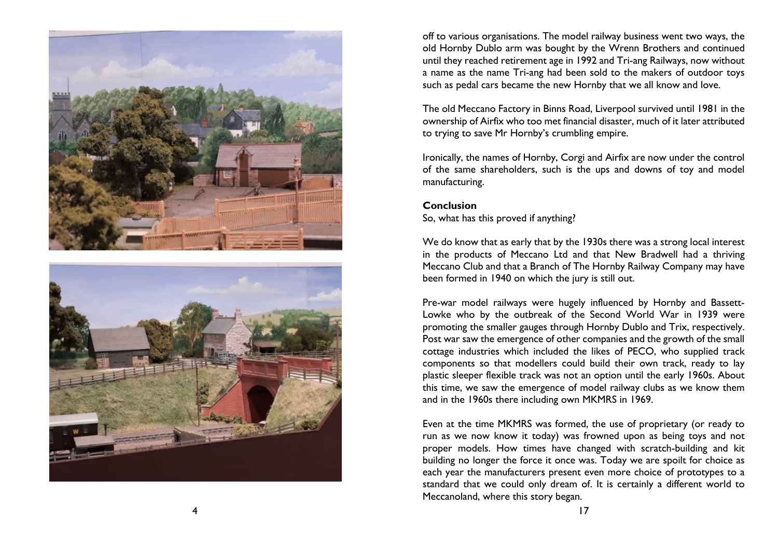



off to various organisations. The model railway business went two ways, the old Hornby Dublo arm was bought by the Wrenn Brothers and continued until they reached retirement age in 1992 and Tri -ang Railways, now without a name as the name Tri -ang had been sold to the makers of outdoor toys such as pedal cars became the new Hornby that we all know and love.

The old Meccano Factory in Binns Road, Liverpool survived until 1981 in the ownership of Airfix who too met financial disaster, much of it later attributed to trying to save Mr Hornby's crumbling empire.

Ironically, the names of Hornby, Corgi and Airfix are now under the control of the same shareholders, such is the ups and downs of toy and model manufacturing.

### **Conclusion** So, what has this proved if anything?

We do know that as early that by the 1930s there was a strong local interest in the products of Meccano Ltd and that New Bradwell had a thriving Meccano Club and that a Branch of The Hornby Railway Company may have been formed in 1940 on which the jury is still out.

Pre -war model railways were hugely influenced by Hornby and Bassett - Lowke who by the outbreak of the Second World War in 1939 were promoting the smaller gauges through Hornby Dublo and Trix, respectively. Post war saw the emergence of other companies and the growth of the small cottage industries which included the likes of PECO, who supplied track components so that modellers could build their own track, ready to lay plastic sleeper flexible track was not an option until the early 1960s. About this time, we saw the emergence of model railway clubs as we know them and in the 1960s there including own MKMRS in 1969.

Even at the time MKMRS was formed, the use of proprietary (or ready to run as we now know it today) was frowned upon as being toys and not proper models. How times have changed with scratch -building and kit building no longer the force it once was. Today we are spoilt for choice as each year the manufacturers present even more choice of prototypes to a standard that we could only dream of. It is certainly a different world to Meccanoland, where this story began.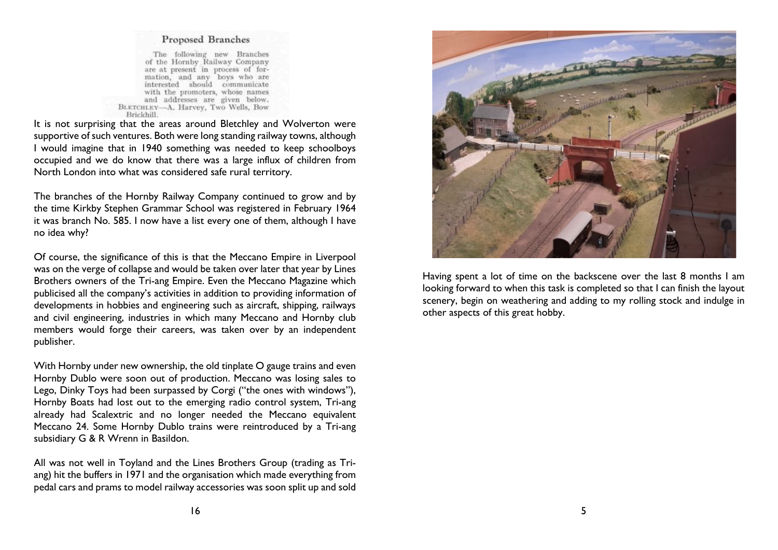#### Proposed Branches

The following new Branches<br>of the Hornby Railway Company are at present in process of formation, and any boys who are interested should communicate with the promoters, whose names and addresses are given below. BLETCHLEY-A. Harvey, Two Wells, Bow Brickhill.

It is not surprising that the areas around Bletchley and Wolverton were supportive of such ventures. Both were long standing railway towns, although I would imagine that in 1940 something was needed to keep schoolboys occupied and we do know that there was a large influx of children from North London into what was considered safe rural territory.

The branches of the Hornby Railway Company continued to grow and by the time Kirkby Stephen Grammar School was registered in February 1964 it was branch No. 585. I now have a list every one of them, although I have no idea why?

Of course, the significance of this is that the Meccano Empire in Liverpool was on the verge of collapse and would be taken over later that year by Lines Brothers owners of the Tri-ang Empire. Even the Meccano Magazine which publicised all the company's activities in addition to providing information of developments in hobbies and engineering such as aircraft, shipping, railways and civil engineering, industries in which many Meccano and Hornby club members would forge their careers, was taken over by an independent publisher.

With Hornby under new ownership, the old tinplate O gauge trains and even Hornby Dublo were soon out of production. Meccano was losing sales to Lego, Dinky Toys had been surpassed by Corgi ("the ones with windows"), Hornby Boats had lost out to the emerging radio control system, Tri-ang already had Scalextric and no longer needed the Meccano equivalent Meccano 24. Some Hornby Dublo trains were reintroduced by a Tri-ang subsidiary G & R Wrenn in Basildon.

All was not well in Toyland and the Lines Brothers Group (trading as Triang) hit the buffers in 1971 and the organisation which made everything from pedal cars and prams to model railway accessories was soon split up and sold



Having spent a lot of time on the backscene over the last 8 months I am looking forward to when this task is completed so that I can finish the layout scenery, begin on weathering and adding to my rolling stock and indulge in other aspects of this great hobby.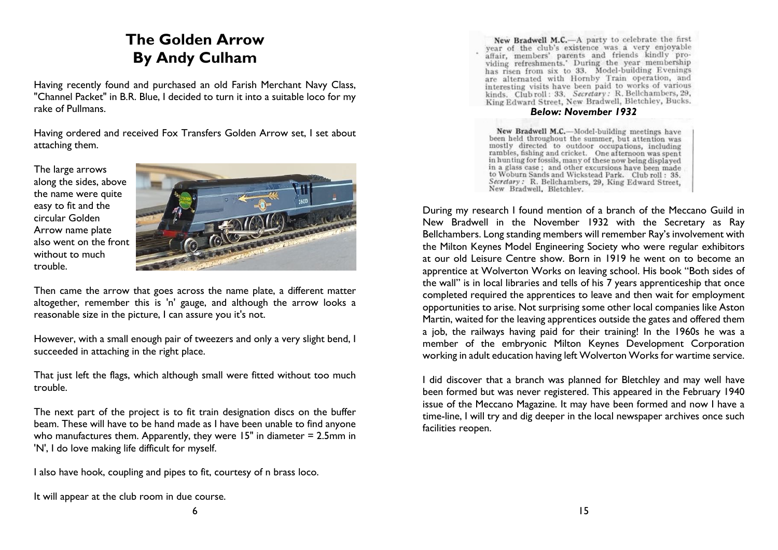# **The Golden Arrow By Andy Culham**

Having recently found and purchased an old Farish Merchant Navy Class, "Channel Packet" in B.R. Blue, I decided to turn it into a suitable loco for my rake of Pullmans.

Having ordered and received Fox Transfers Golden Arrow set, I set about attaching them.

The large arrows along the sides, above the name were quite easy to fit and the circular Golden Arrow name plate also went on the front without to much trouble.



Then came the arrow that goes across the name plate, a different matter altogether, remember this is 'n' gauge, and although the arrow looks a reasonable size in the picture, I can assure you it's not.

However, with a small enough pair of tweezers and only a very slight bend, I succeeded in attaching in the right place.

That just left the flags, which although small were fitted without too much trouble.

The next part of the project is to fit train designation discs on the buffer beam. These will have to be hand made as I have been unable to find anyone who manufactures them. Apparently, they were 15" in diameter = 2.5mm in 'N', I do love making life difficult for myself.

I also have hook, coupling and pipes to fit, courtesy of n brass loco.

It will appear at the club room in due course.

New Bradwell M.C.-A party to celebrate the first New Bradwell M.C.—A party to celebrate the mist<br>graph affair, members' parents and friends kindly providing refreshments.<br>Turing the year membership has risen from six to 33. Model-building Evenings are alternated with Hornby Train operation, and interesting visits have been paid to works of various kinds. Club roll: 33. Secretary: R. Bellchambers, 29. King Edward Street, New Bradwell, Bletchley, Bucks.

#### *Below: November 1932*

New Bradwell M.C.-Model-building meetings have been held throughout the summer, but attention was mostly directed to outdoor occupations, including rambles, fishing and cricket. One afternoon was spent<br>in hunting for fossils, many of these now being displayed in a glass case; and other excursions have been made to Woburn Sands and Wickstead Park. Club roll: 35. Secretary: R. Bellchambers, 29, King Edward Street, New Bradwell, Bletchley.

During my research I found mention of a branch of the Meccano Guild in New Bradwell in the November 1932 with the Secretary as Ray Bellchambers. Long standing members will remember Ray's involvement with the Milton Keynes Model Engineering Society who were regular exhibitors at our old Leisure Centre show. Born in 1919 he went on to become an apprentice at Wolverton Works on leaving school. His book "Both sides of the wall" is in local libraries and tells of his 7 years apprenticeship that once completed required the apprentices to leave and then wait for employment opportunities to arise. Not surprising some other local companies like Aston Martin, waited for the leaving apprentices outside the gates and offered them a job, the railways having paid for their training! In the 1960s he was a member of the embryonic Milton Keynes Development Corporation working in adult education having left Wolverton Works for wartime service.

I did discover that a branch was planned for Bletchley and may well have been formed but was never registered. This appeared in the February 1940 issue of the Meccano Magazine. It may have been formed and now I have a time-line, I will try and dig deeper in the local newspaper archives once such facilities reopen.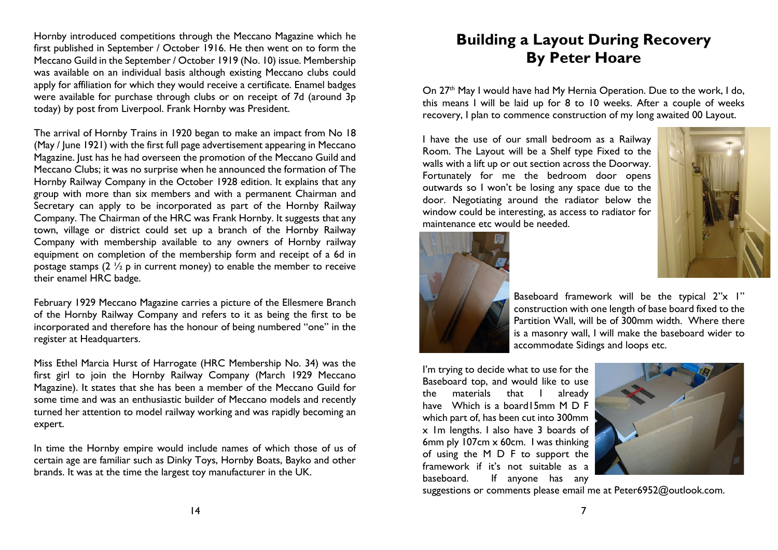Hornby introduced competitions through the Meccano Magazine which he first published in September / October 1916. He then went on to form the Meccano Guild in the September / October 1919 (No. 10) issue. Membership was available on an individual basis although existing Meccano clubs could apply for affiliation for which they would receive a certificate. Enamel badges were available for purchase through clubs or on receipt of 7d (around 3p today) by post from Liverpool. Frank Hornby was President.

The arrival of Hornby Trains in 1920 began to make an impact from No 18 (May / June 1921) with the first full page advertisement appearing in Meccano Magazine. Just has he had overseen the promotion of the Meccano Guild and Meccano Clubs; it was no surprise when he announced the formation of The Hornby Railway Company in the October 1928 edition. It explains that any group with more than six members and with a permanent Chairman and Secretary can apply to be incorporated as part of the Hornby Railway Company. The Chairman of the HRC was Frank Hornby. It suggests that any town, village or district could set up a branch of the Hornby Railway Company with membership available to any owners of Hornby railway equipment on completion of the membership form and receipt of a 6d in postage stamps  $(2 \frac{1}{2})$  p in current money) to enable the member to receive their enamel HRC badge.

February 1929 Meccano Magazine carries a picture of the Ellesmere Branch of the Hornby Railway Company and refers to it as being the first to be incorporated and therefore has the honour of being numbered "one" in the register at Headquarters.

Miss Ethel Marcia Hurst of Harrogate (HRC Membership No. 34) was the first girl to join the Hornby Railway Company (March 1929 Meccano Magazine). It states that she has been a member of the Meccano Guild for some time and was an enthusiastic builder of Meccano models and recently turned her attention to model railway working and was rapidly becoming an expert.

In time the Hornby empire would include names of which those of us of certain age are familiar such as Dinky Toys, Hornby Boats, Bayko and other brands. It was at the time the largest toy manufacturer in the UK.

# **Building a Layout During Recovery By Peter Hoare**

On 27<sup>th</sup> May I would have had My Hernia Operation. Due to the work, I do, this means I will be laid up for 8 to 10 weeks. After a couple of weeks recovery, I plan to commence construction of my long awaited 00 Layout.

I have the use of our small bedroom as a Railway Room. The Layout will be a Shelf type Fixed to the walls with a lift up or out section across the Doorway. Fortunately for me the bedroom door opens outwards so I won't be losing any space due to the door. Negotiating around the radiator below the window could be interesting, as access to radiator for maintenance etc would be needed.





Baseboard framework will be the typical 2"x 1" construction with one length of base board fixed to the Partition Wall, will be of 300mm width. Where there is a masonry wall, I will make the baseboard wider to accommodate Sidings and loops etc.

I'm trying to decide what to use for the Baseboard top, and would like to use the materials that I already have Which is a board15mm M D F which part of, has been cut into 300mm x 1m lengths. I also have 3 boards of 6mm ply 107cm x 60cm. I was thinking of using the M D F to support the framework if it's not suitable as a baseboard. If anyone has any



suggestions or comments please email me at Peter6952@outlook.com.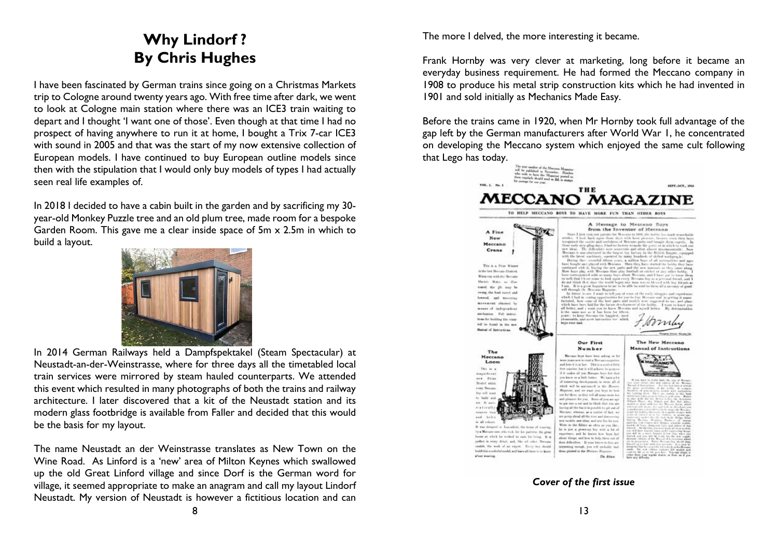# **Why Lindorf ? By Chris Hughes**

I have been fascinated by German trains since going on a Christmas Markets trip to Cologne around twenty years ago. With free time after dark, we went to look at Cologne main station where there was an ICE3 train waiting to depart and I thought 'I want one of those'. Even though at that time I had no prospect of having anywhere to run it at home, I bought a Trix 7-car ICE3 with sound in 2005 and that was the start of my now extensive collection of European models. I have continued to buy European outline models since then with the stipulation that I would only buy models of types I had actually seen real life examples of.

In 2018 I decided to have a cabin built in the garden and by sacrificing my 30 year-old Monkey Puzzle tree and an old plum tree, made room for a bespoke Garden Room. This gave me a clear inside space of 5m x 2.5m in which to build a layout.



In 2014 German Railways held a Dampfspektakel (Steam Spectacular) at Neustadt-an-der-Weinstrasse, where for three days all the timetabled local train services were mirrored by steam hauled counterparts. We attended this event which resulted in many photographs of both the trains and railway architecture. I later discovered that a kit of the Neustadt station and its modern glass footbridge is available from Faller and decided that this would be the basis for my layout.

The name Neustadt an der Weinstrasse translates as New Town on the Wine Road. As Linford is a 'new' area of Milton Keynes which swallowed up the old Great Linford village and since Dorf is the German word for village, it seemed appropriate to make an anagram and call my layout Lindorf Neustadt. My version of Neustadt is however a fictitious location and can

The more I delved, the more interesting it became.

Frank Hornby was very clever at marketing, long before it became an everyday business requirement. He had formed the Meccano company in 1908 to produce his metal strip construction kits which he had invented in 1901 and sold initially as Mechanics Made Easy.

Before the trains came in 1920, when Mr Hornby took full advantage of the gap left by the German manufacturers after World War 1, he concentrated on developing the Meccano system which enjoyed the same cult following that Lego has today.



*Cover of the first issue*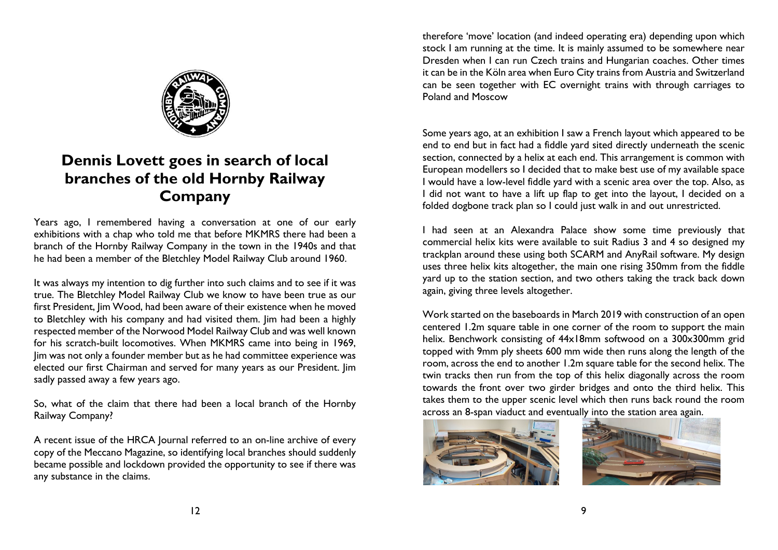

## **Dennis Lovett goes in search of local branches of the old Hornby Railway Company**

Years ago, I remembered having a conversation at one of our early exhibitions with a chap who told me that before MKMRS there had been a branch of the Hornby Railway Company in the town in the 1940s and that he had been a member of the Bletchley Model Railway Club around 1960.

It was always my intention to dig further into such claims and to see if it was true. The Bletchley Model Railway Club we know to have been true as our first President, Jim Wood, had been aware of their existence when he moved to Bletchley with his company and had visited them. Jim had been a highly respected member of the Norwood Model Railway Club and was well known for his scratch-built locomotives. When MKMRS came into being in 1969, Jim was not only a founder member but as he had committee experience was elected our first Chairman and served for many years as our President. Jim sadly passed away a few years ago.

So, what of the claim that there had been a local branch of the Hornby Railway Company?

A recent issue of the HRCA Journal referred to an on-line archive of every copy of the Meccano Magazine, so identifying local branches should suddenly became possible and lockdown provided the opportunity to see if there was any substance in the claims.

therefore 'move' location (and indeed operating era) depending upon which stock I am running at the time. It is mainly assumed to be somewhere near Dresden when I can run Czech trains and Hungarian coaches. Other times it can be in the Köln area when Euro City trains from Austria and Switzerland can be seen together with EC overnight trains with through carriages to Poland and Moscow

Some years ago, at an exhibition I saw a French layout which appeared to be end to end but in fact had a fiddle yard sited directly underneath the scenic section, connected by a helix at each end. This arrangement is common with European modellers so I decided that to make best use of my available space I would have a low-level fiddle yard with a scenic area over the top. Also, as I did not want to have a lift up flap to get into the layout, I decided on a folded dogbone track plan so I could just walk in and out unrestricted.

I had seen at an Alexandra Palace show some time previously that commercial helix kits were available to suit Radius 3 and 4 so designed my trackplan around these using both SCARM and AnyRail software. My design uses three helix kits altogether, the main one rising 350mm from the fiddle yard up to the station section, and two others taking the track back down again, giving three levels altogether.

Work started on the baseboards in March 2019 with construction of an open centered 1.2m square table in one corner of the room to support the main helix. Benchwork consisting of 44x18mm softwood on a 300x300mm grid topped with 9mm ply sheets 600 mm wide then runs along the length of the room, across the end to another 1.2m square table for the second helix. The twin tracks then run from the top of this helix diagonally across the room towards the front over two girder bridges and onto the third helix. This takes them to the upper scenic level which then runs back round the room across an 8-span viaduct and eventually into the station area again.